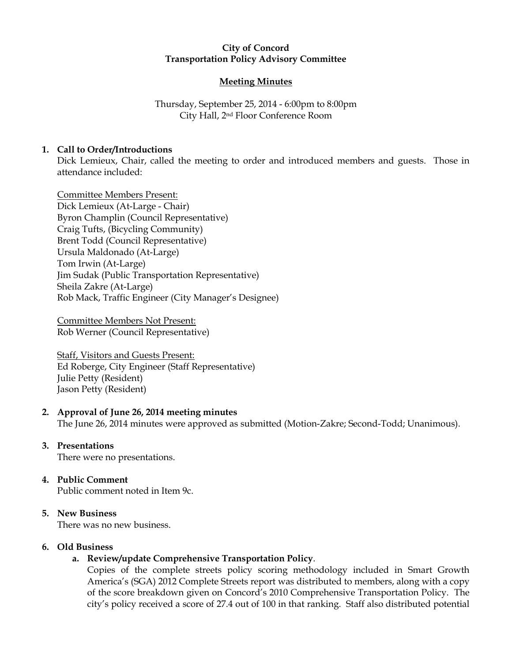## City of Concord Transportation Policy Advisory Committee

# Meeting Minutes

Thursday, September 25, 2014 - 6:00pm to 8:00pm City Hall, 2nd Floor Conference Room

# 1. Call to Order/Introductions

Dick Lemieux, Chair, called the meeting to order and introduced members and guests. Those in attendance included:

Committee Members Present: Dick Lemieux (At-Large - Chair) Byron Champlin (Council Representative) Craig Tufts, (Bicycling Community) Brent Todd (Council Representative) Ursula Maldonado (At-Large) Tom Irwin (At-Large) Jim Sudak (Public Transportation Representative) Sheila Zakre (At-Large) Rob Mack, Traffic Engineer (City Manager's Designee)

Committee Members Not Present: Rob Werner (Council Representative)

Staff, Visitors and Guests Present: Ed Roberge, City Engineer (Staff Representative) Julie Petty (Resident) Jason Petty (Resident)

## 2. Approval of June 26, 2014 meeting minutes

The June 26, 2014 minutes were approved as submitted (Motion-Zakre; Second-Todd; Unanimous).

## 3. Presentations

There were no presentations.

# 4. Public Comment

Public comment noted in Item 9c.

# 5. New Business

There was no new business.

## 6. Old Business

# a. Review/update Comprehensive Transportation Policy.

Copies of the complete streets policy scoring methodology included in Smart Growth America's (SGA) 2012 Complete Streets report was distributed to members, along with a copy of the score breakdown given on Concord's 2010 Comprehensive Transportation Policy. The city's policy received a score of 27.4 out of 100 in that ranking. Staff also distributed potential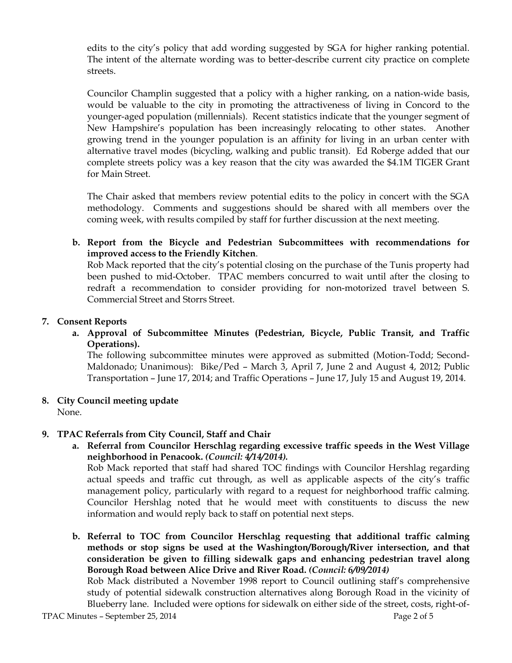edits to the city's policy that add wording suggested by SGA for higher ranking potential. The intent of the alternate wording was to better-describe current city practice on complete streets.

Councilor Champlin suggested that a policy with a higher ranking, on a nation-wide basis, would be valuable to the city in promoting the attractiveness of living in Concord to the younger-aged population (millennials). Recent statistics indicate that the younger segment of New Hampshire's population has been increasingly relocating to other states. Another growing trend in the younger population is an affinity for living in an urban center with alternative travel modes (bicycling, walking and public transit). Ed Roberge added that our complete streets policy was a key reason that the city was awarded the \$4.1M TIGER Grant for Main Street.

The Chair asked that members review potential edits to the policy in concert with the SGA methodology. Comments and suggestions should be shared with all members over the coming week, with results compiled by staff for further discussion at the next meeting.

b. Report from the Bicycle and Pedestrian Subcommittees with recommendations for improved access to the Friendly Kitchen.

Rob Mack reported that the city's potential closing on the purchase of the Tunis property had been pushed to mid-October. TPAC members concurred to wait until after the closing to redraft a recommendation to consider providing for non-motorized travel between S. Commercial Street and Storrs Street.

## 7. Consent Reports

a. Approval of Subcommittee Minutes (Pedestrian, Bicycle, Public Transit, and Traffic Operations).

The following subcommittee minutes were approved as submitted (Motion-Todd; Second-Maldonado; Unanimous): Bike/Ped – March 3, April 7, June 2 and August 4, 2012; Public Transportation – June 17, 2014; and Traffic Operations – June 17, July 15 and August 19, 2014.

8. City Council meeting update

None.

# 9. TPAC Referrals from City Council, Staff and Chair

a. Referral from Councilor Herschlag regarding excessive traffic speeds in the West Village neighborhood in Penacook. (Council: 4/14/2014).

Rob Mack reported that staff had shared TOC findings with Councilor Hershlag regarding actual speeds and traffic cut through, as well as applicable aspects of the city's traffic management policy, particularly with regard to a request for neighborhood traffic calming. Councilor Hershlag noted that he would meet with constituents to discuss the new information and would reply back to staff on potential next steps.

b. Referral to TOC from Councilor Herschlag requesting that additional traffic calming methods or stop signs be used at the Washington/Borough/River intersection, and that consideration be given to filling sidewalk gaps and enhancing pedestrian travel along Borough Road between Alice Drive and River Road. (Council: 6/09/2014)

Rob Mack distributed a November 1998 report to Council outlining staff's comprehensive study of potential sidewalk construction alternatives along Borough Road in the vicinity of Blueberry lane. Included were options for sidewalk on either side of the street, costs, right-of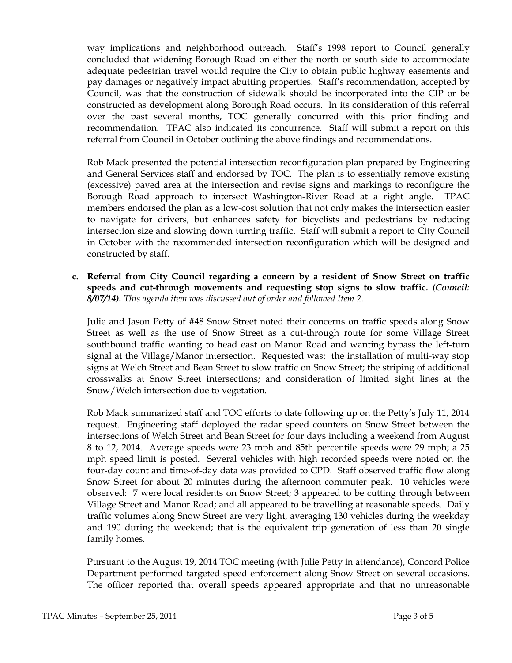way implications and neighborhood outreach. Staff's 1998 report to Council generally concluded that widening Borough Road on either the north or south side to accommodate adequate pedestrian travel would require the City to obtain public highway easements and pay damages or negatively impact abutting properties. Staff's recommendation, accepted by Council, was that the construction of sidewalk should be incorporated into the CIP or be constructed as development along Borough Road occurs. In its consideration of this referral over the past several months, TOC generally concurred with this prior finding and recommendation. TPAC also indicated its concurrence. Staff will submit a report on this referral from Council in October outlining the above findings and recommendations.

Rob Mack presented the potential intersection reconfiguration plan prepared by Engineering and General Services staff and endorsed by TOC. The plan is to essentially remove existing (excessive) paved area at the intersection and revise signs and markings to reconfigure the Borough Road approach to intersect Washington-River Road at a right angle. TPAC members endorsed the plan as a low-cost solution that not only makes the intersection easier to navigate for drivers, but enhances safety for bicyclists and pedestrians by reducing intersection size and slowing down turning traffic. Staff will submit a report to City Council in October with the recommended intersection reconfiguration which will be designed and constructed by staff.

c. Referral from City Council regarding a concern by a resident of Snow Street on traffic speeds and cut-through movements and requesting stop signs to slow traffic. (Council: 8/07/14). This agenda item was discussed out of order and followed Item 2.

Julie and Jason Petty of #48 Snow Street noted their concerns on traffic speeds along Snow Street as well as the use of Snow Street as a cut-through route for some Village Street southbound traffic wanting to head east on Manor Road and wanting bypass the left-turn signal at the Village/Manor intersection. Requested was: the installation of multi-way stop signs at Welch Street and Bean Street to slow traffic on Snow Street; the striping of additional crosswalks at Snow Street intersections; and consideration of limited sight lines at the Snow/Welch intersection due to vegetation.

Rob Mack summarized staff and TOC efforts to date following up on the Petty's July 11, 2014 request. Engineering staff deployed the radar speed counters on Snow Street between the intersections of Welch Street and Bean Street for four days including a weekend from August 8 to 12, 2014. Average speeds were 23 mph and 85th percentile speeds were 29 mph; a 25 mph speed limit is posted. Several vehicles with high recorded speeds were noted on the four-day count and time-of-day data was provided to CPD. Staff observed traffic flow along Snow Street for about 20 minutes during the afternoon commuter peak. 10 vehicles were observed: 7 were local residents on Snow Street; 3 appeared to be cutting through between Village Street and Manor Road; and all appeared to be travelling at reasonable speeds. Daily traffic volumes along Snow Street are very light, averaging 130 vehicles during the weekday and 190 during the weekend; that is the equivalent trip generation of less than 20 single family homes.

Pursuant to the August 19, 2014 TOC meeting (with Julie Petty in attendance), Concord Police Department performed targeted speed enforcement along Snow Street on several occasions. The officer reported that overall speeds appeared appropriate and that no unreasonable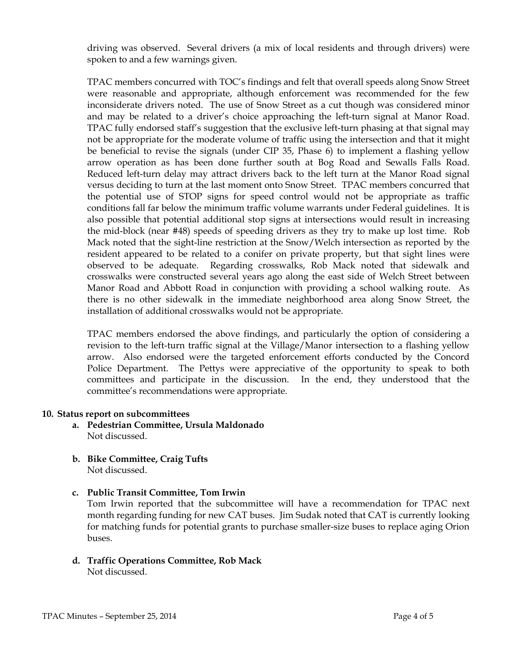driving was observed. Several drivers (a mix of local residents and through drivers) were spoken to and a few warnings given.

TPAC members concurred with TOC's findings and felt that overall speeds along Snow Street were reasonable and appropriate, although enforcement was recommended for the few inconsiderate drivers noted. The use of Snow Street as a cut though was considered minor and may be related to a driver's choice approaching the left-turn signal at Manor Road. TPAC fully endorsed staff's suggestion that the exclusive left-turn phasing at that signal may not be appropriate for the moderate volume of traffic using the intersection and that it might be beneficial to revise the signals (under CIP 35, Phase 6) to implement a flashing yellow arrow operation as has been done further south at Bog Road and Sewalls Falls Road. Reduced left-turn delay may attract drivers back to the left turn at the Manor Road signal versus deciding to turn at the last moment onto Snow Street. TPAC members concurred that the potential use of STOP signs for speed control would not be appropriate as traffic conditions fall far below the minimum traffic volume warrants under Federal guidelines. It is also possible that potential additional stop signs at intersections would result in increasing the mid-block (near #48) speeds of speeding drivers as they try to make up lost time. Rob Mack noted that the sight-line restriction at the Snow/Welch intersection as reported by the resident appeared to be related to a conifer on private property, but that sight lines were observed to be adequate. Regarding crosswalks, Rob Mack noted that sidewalk and crosswalks were constructed several years ago along the east side of Welch Street between Manor Road and Abbott Road in conjunction with providing a school walking route. As there is no other sidewalk in the immediate neighborhood area along Snow Street, the installation of additional crosswalks would not be appropriate.

TPAC members endorsed the above findings, and particularly the option of considering a revision to the left-turn traffic signal at the Village/Manor intersection to a flashing yellow arrow. Also endorsed were the targeted enforcement efforts conducted by the Concord Police Department. The Pettys were appreciative of the opportunity to speak to both committees and participate in the discussion. In the end, they understood that the committee's recommendations were appropriate.

#### 10. Status report on subcommittees

- a. Pedestrian Committee, Ursula Maldonado Not discussed.
- b. Bike Committee, Craig Tufts Not discussed.
- c. Public Transit Committee, Tom Irwin

Tom Irwin reported that the subcommittee will have a recommendation for TPAC next month regarding funding for new CAT buses. Jim Sudak noted that CAT is currently looking for matching funds for potential grants to purchase smaller-size buses to replace aging Orion buses.

d. Traffic Operations Committee, Rob Mack Not discussed.